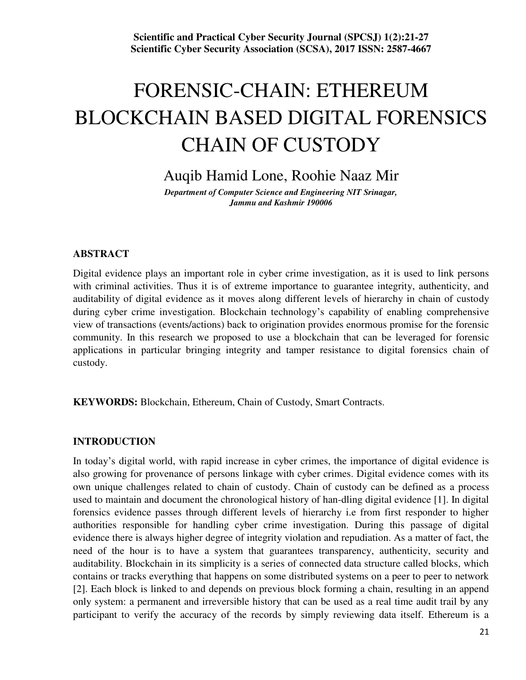# FORENSIC-CHAIN: ETHEREUM BLOCKCHAIN BASED DIGITAL FORENSICS CHAIN OF CUSTODY

Auqib Hamid Lone, Roohie Naaz Mir

*Department of Computer Science and Engineering NIT Srinagar, Jammu and Kashmir 190006* 

## **ABSTRACT**

Digital evidence plays an important role in cyber crime investigation, as it is used to link persons with criminal activities. Thus it is of extreme importance to guarantee integrity, authenticity, and auditability of digital evidence as it moves along different levels of hierarchy in chain of custody during cyber crime investigation. Blockchain technology's capability of enabling comprehensive view of transactions (events/actions) back to origination provides enormous promise for the forensic community. In this research we proposed to use a blockchain that can be leveraged for forensic applications in particular bringing integrity and tamper resistance to digital forensics chain of custody.

**KEYWORDS:** Blockchain, Ethereum, Chain of Custody, Smart Contracts.

#### **INTRODUCTION**

In today's digital world, with rapid increase in cyber crimes, the importance of digital evidence is also growing for provenance of persons linkage with cyber crimes. Digital evidence comes with its own unique challenges related to chain of custody. Chain of custody can be defined as a process used to maintain and document the chronological history of han-dling digital evidence [1]. In digital forensics evidence passes through different levels of hierarchy i.e from first responder to higher authorities responsible for handling cyber crime investigation. During this passage of digital evidence there is always higher degree of integrity violation and repudiation. As a matter of fact, the need of the hour is to have a system that guarantees transparency, authenticity, security and auditability. Blockchain in its simplicity is a series of connected data structure called blocks, which contains or tracks everything that happens on some distributed systems on a peer to peer to network [2]. Each block is linked to and depends on previous block forming a chain, resulting in an append only system: a permanent and irreversible history that can be used as a real time audit trail by any participant to verify the accuracy of the records by simply reviewing data itself. Ethereum is a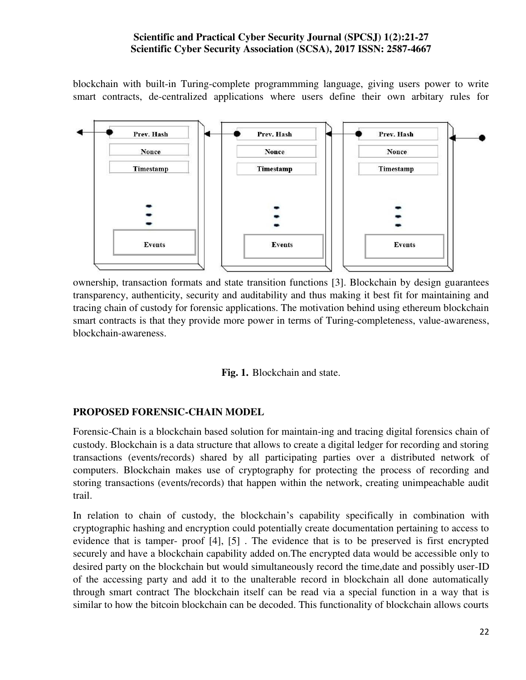blockchain with built-in Turing-complete programmming language, giving users power to write smart contracts, de-centralized applications where users define their own arbitary rules for



ownership, transaction formats and state transition functions [3]. Blockchain by design guarantees transparency, authenticity, security and auditability and thus making it best fit for maintaining and tracing chain of custody for forensic applications. The motivation behind using ethereum blockchain smart contracts is that they provide more power in terms of Turing-completeness, value-awareness, blockchain-awareness.



#### **PROPOSED FORENSIC-CHAIN MODEL**

Forensic-Chain is a blockchain based solution for maintain-ing and tracing digital forensics chain of custody. Blockchain is a data structure that allows to create a digital ledger for recording and storing transactions (events/records) shared by all participating parties over a distributed network of computers. Blockchain makes use of cryptography for protecting the process of recording and storing transactions (events/records) that happen within the network, creating unimpeachable audit trail.

In relation to chain of custody, the blockchain's capability specifically in combination with cryptographic hashing and encryption could potentially create documentation pertaining to access to evidence that is tamper- proof [4], [5] . The evidence that is to be preserved is first encrypted securely and have a blockchain capability added on.The encrypted data would be accessible only to desired party on the blockchain but would simultaneously record the time,date and possibly user-ID of the accessing party and add it to the unalterable record in blockchain all done automatically through smart contract The blockchain itself can be read via a special function in a way that is similar to how the bitcoin blockchain can be decoded. This functionality of blockchain allows courts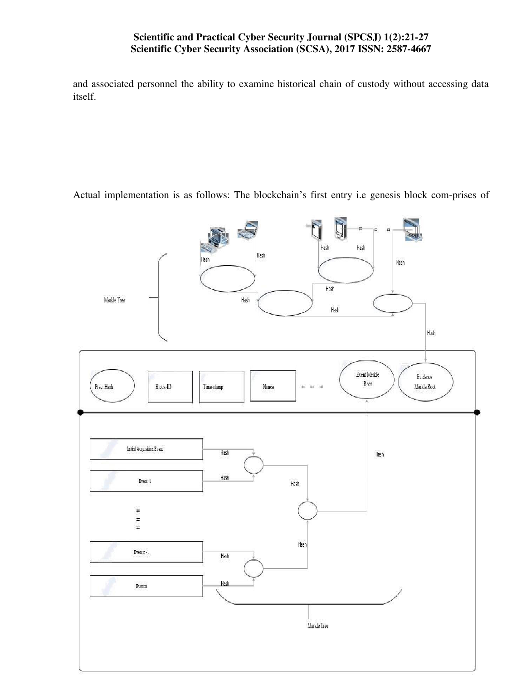and associated personnel the ability to examine historical chain of custody without accessing data itself.

Actual implementation is as follows: The blockchain's first entry i.e genesis block com-prises of

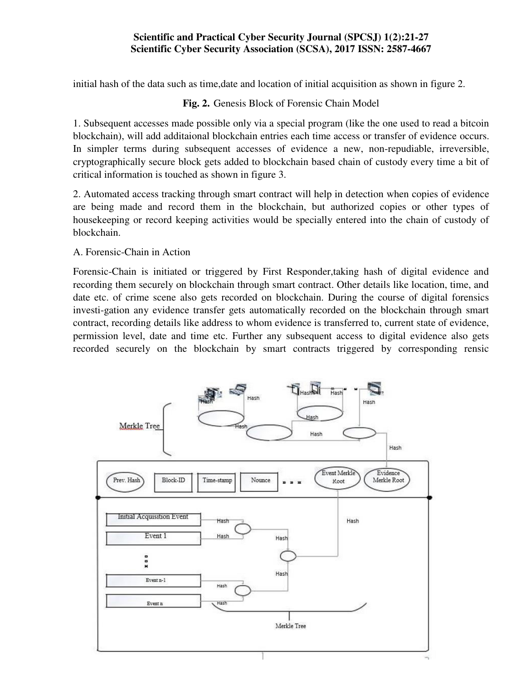initial hash of the data such as time,date and location of initial acquisition as shown in figure 2.

# **Fig. 2.** Genesis Block of Forensic Chain Model

1. Subsequent accesses made possible only via a special program (like the one used to read a bitcoin blockchain), will add additaional blockchain entries each time access or transfer of evidence occurs. In simpler terms during subsequent accesses of evidence a new, non-repudiable, irreversible, cryptographically secure block gets added to blockchain based chain of custody every time a bit of critical information is touched as shown in figure 3.

2. Automated access tracking through smart contract will help in detection when copies of evidence are being made and record them in the blockchain, but authorized copies or other types of housekeeping or record keeping activities would be specially entered into the chain of custody of blockchain.

## A. Forensic-Chain in Action

Forensic-Chain is initiated or triggered by First Responder,taking hash of digital evidence and recording them securely on blockchain through smart contract. Other details like location, time, and date etc. of crime scene also gets recorded on blockchain. During the course of digital forensics investi-gation any evidence transfer gets automatically recorded on the blockchain through smart contract, recording details like address to whom evidence is transferred to, current state of evidence, permission level, date and time etc. Further any subsequent access to digital evidence also gets recorded securely on the blockchain by smart contracts triggered by corresponding rensic

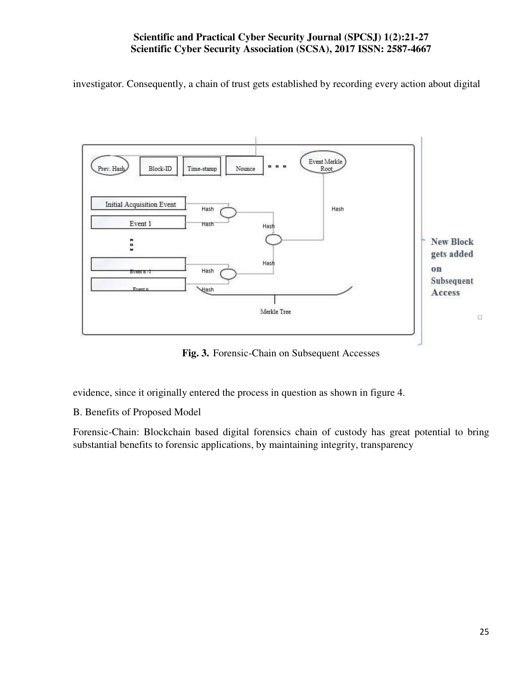investigator. Consequently, a chain of trust gets established by recording every action about digital



**Fig. 3.** Forensic-Chain on Subsequent Accesses

evidence, since it originally entered the process in question as shown in figure 4.

B. Benefits of Proposed Model

Forensic-Chain: Blockchain based digital forensics chain of custody has great potential to bring substantial benefits to forensic applications, by maintaining integrity, transparency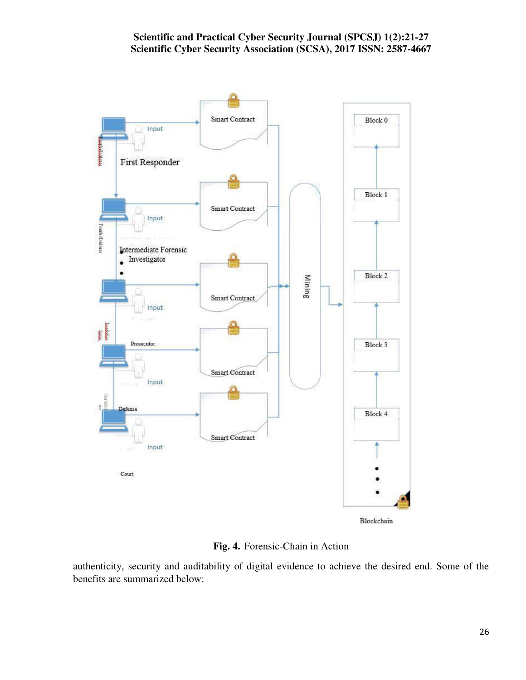

**Fig. 4.** Forensic-Chain in Action

authenticity, security and auditability of digital evidence to achieve the desired end. Some of the benefits are summarized below: